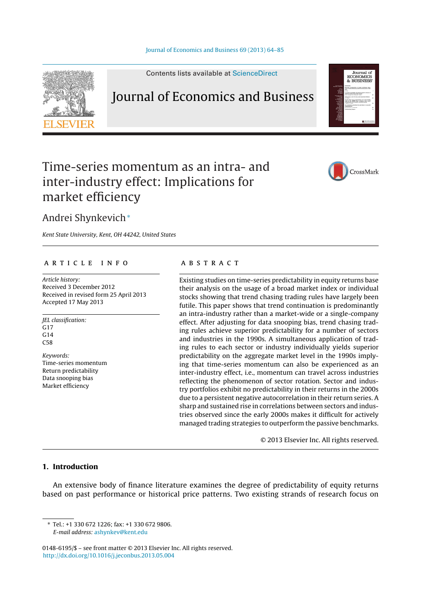Contents lists available at [ScienceDirect](http://www.sciencedirect.com/science/journal/01486195)

## Journal of Economics and Business

Journal of<br>ECONOMICS **ECONOMICO** ÷Ē -<br>In tensories and his wa

### Time-series momentum as an intra- and inter-industry effect: Implications for market efficiency



Andrei Shynkevich<sup>∗</sup>

Kent State University, Kent, OH 44242, United States

#### a r t i c l e i n f o

Article history: Received 3 December 2012 Received in revised form 25 April 2013 Accepted 17 May 2013

JEL classification:  $G<sub>17</sub>$  $G14$ C58

Keywords: Time-series momentum Return predictability Data snooping bias Market efficiency

#### a b s t r a c t

Existing studies on time-series predictability in equity returns base their analysis on the usage of a broad market index or individual stocks showing that trend chasing trading rules have largely been futile. This paper shows that trend continuation is predominantly an intra-industry rather than a market-wide or a single-company effect. After adjusting for data snooping bias, trend chasing trading rules achieve superior predictability for a number of sectors and industries in the 1990s. A simultaneous application of trading rules to each sector or industry individually yields superior predictability on the aggregate market level in the 1990s implying that time-series momentum can also be experienced as an inter-industry effect, i.e., momentum can travel across industries reflecting the phenomenon of sector rotation. Sector and industry portfolios exhibit no predictability in their returns in the 2000s due to a persistent negative autocorrelation in their return series. A sharp and sustained rise in correlations between sectors and industries observed since the early 2000s makes it difficult for actively managed trading strategies to outperform the passive benchmarks.

© 2013 Elsevier Inc. All rights reserved.

### **1. Introduction**

An extensive body of finance literature examines the degree of predictability of equity returns based on past performance or historical price patterns. Two existing strands of research focus on

0148-6195/\$ – see front matter © 2013 Elsevier Inc. All rights reserved. [http://dx.doi.org/10.1016/j.jeconbus.2013.05.004](dx.doi.org/10.1016/j.jeconbus.2013.05.004)

<sup>∗</sup> Tel.: +1 330 672 1226; fax: +1 330 672 9806. E-mail address: [ashynkev@kent.edu](mailto:ashynkev@kent.edu)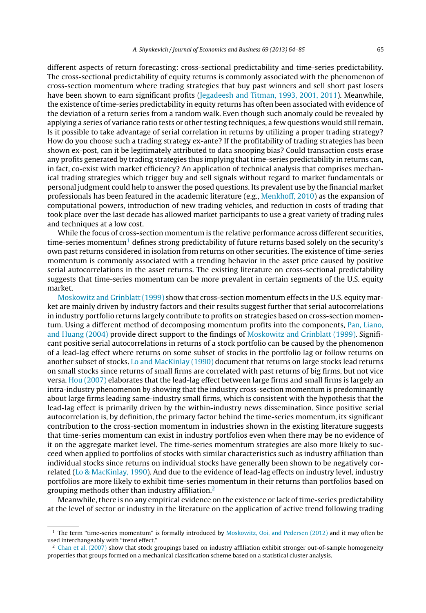different aspects of return forecasting: cross-sectional predictability and time-series predictability. The cross-sectional predictability of equity returns is commonly associated with the phenomenon of cross-section momentum where trading strategies that buy past winners and sell short past losers have been shown to earn significant profits [\(Jegadeesh](#page--1-0) [and](#page--1-0) [Titman,](#page--1-0) [1993,](#page--1-0) [2001,](#page--1-0) [2011\).](#page--1-0) Meanwhile, the existence of time-series predictability in equity returns has often been associated with evidence of the deviation of a return series from a random walk. Even though such anomaly could be revealed by applying a series of variance ratio tests or other testing techniques, a few questions would still remain. Is it possible to take advantage of serial correlation in returns by utilizing a proper trading strategy? How do you choose such a trading strategy ex-ante? If the profitability of trading strategies has been shown ex-post, can it be legitimately attributed to data snooping bias? Could transaction costs erase any profits generated by trading strategies thus implying that time-series predictability in returns can, in fact, co-exist with market efficiency? An application of technical analysis that comprises mechanical trading strategies which trigger buy and sell signals without regard to market fundamentals or personal judgment could help to answer the posed questions. Its prevalent use by the financial market professionals has been featured in the academic literature (e.g., [Menkhoff,](#page--1-0) [2010\)](#page--1-0) as the expansion of computational powers, introduction of new trading vehicles, and reduction in costs of trading that took place over the last decade has allowed market participants to use a great variety of trading rules and techniques at a low cost.

While the focus of cross-section momentum is the relative performance across different securities, time-series momentum<sup>1</sup> defines strong predictability of future returns based solely on the security's own past returns considered in isolation from returns on other securities. The existence of time-series momentum is commonly associated with a trending behavior in the asset price caused by positive serial autocorrelations in the asset returns. The existing literature on cross-sectional predictability suggests that time-series momentum can be more prevalent in certain segments of the U.S. equity market.

[Moskowitz](#page--1-0) [and](#page--1-0) [Grinblatt](#page--1-0) [\(1999\)](#page--1-0) show that cross-section momentum effects in the U.S. equity market are mainly driven by industry factors and their results suggest further that serial autocorrelations in industry portfolio returns largely contribute to profits on strategies based on cross-section momentum. Using a different method of decomposing momentum profits into the components, [Pan,](#page--1-0) [Liano,](#page--1-0) [and](#page--1-0) [Huang](#page--1-0) [\(2004\)](#page--1-0) provide direct support to the findings of [Moskowitz](#page--1-0) [and](#page--1-0) [Grinblatt](#page--1-0) [\(1999\).](#page--1-0) Significant positive serial autocorrelations in returns of a stock portfolio can be caused by the phenomenon of a lead-lag effect where returns on some subset of stocks in the portfolio lag or follow returns on another subset of stocks. [Lo](#page--1-0) [and](#page--1-0) [MacKinlay](#page--1-0) [\(1990\)](#page--1-0) document that returns on large stocks lead returns on small stocks since returns of small firms are correlated with past returns of big firms, but not vice versa. [Hou](#page--1-0) [\(2007\)](#page--1-0) elaborates that the lead-lag effect between large firms and small firms is largely an intra-industry phenomenon by showing that the industry cross-section momentum is predominantly about large firms leading same-industry small firms, which is consistent with the hypothesis that the lead-lag effect is primarily driven by the within-industry news dissemination. Since positive serial autocorrelation is, by definition, the primary factor behind the time-series momentum, its significant contribution to the cross-section momentum in industries shown in the existing literature suggests that time-series momentum can exist in industry portfolios even when there may be no evidence of it on the aggregate market level. The time-series momentum strategies are also more likely to succeed when applied to portfolios of stocks with similar characteristics such as industry affiliation than individual stocks since returns on individual stocks have generally been shown to be negatively correlated [\(Lo](#page--1-0) [&](#page--1-0) [MacKinlay,](#page--1-0) [1990\).](#page--1-0) And due to the evidence of lead-lag effects on industry level, industry portfolios are more likely to exhibit time-series momentum in their returns than portfolios based on grouping methods other than industry affiliation. $2$ 

Meanwhile, there is no any empirical evidence on the existence or lack of time-series predictability at the level of sector or industry in the literature on the application of active trend following trading

<sup>&</sup>lt;sup>1</sup> The term "time-series momentum" is formally introduced by [Moskowitz,](#page--1-0) [Ooi,](#page--1-0) [and](#page--1-0) [Pedersen](#page--1-0) [\(2012\)](#page--1-0) and it may often be used interchangeably with "trend effect."

<sup>&</sup>lt;sup>2</sup> [Chan](#page--1-0) et [al.](#page--1-0) [\(2007\)](#page--1-0) show that stock groupings based on industry affiliation exhibit stronger out-of-sample homogeneity properties that groups formed on a mechanical classification scheme based on a statistical cluster analysis.